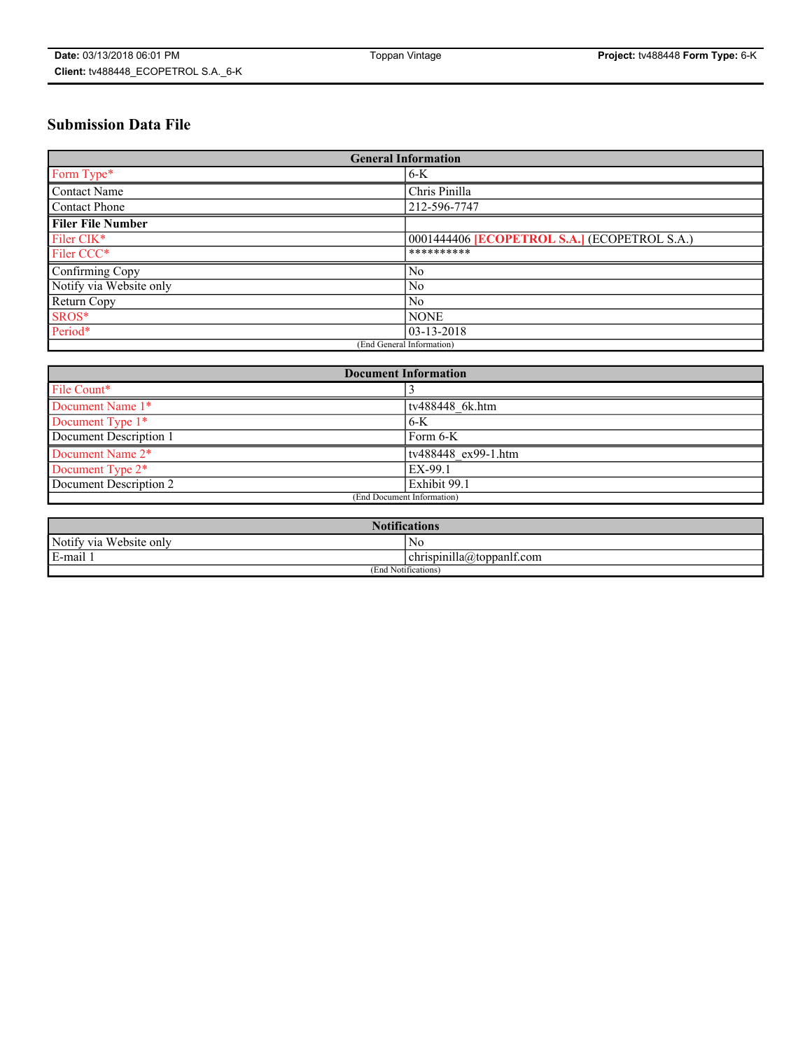# **Submission Data File**

| <b>General Information</b> |                                                     |
|----------------------------|-----------------------------------------------------|
| Form Type*                 | $6-K$                                               |
| Contact Name               | Chris Pinilla                                       |
| Contact Phone              | 212-596-7747                                        |
| <b>Filer File Number</b>   |                                                     |
| Filer CIK*                 | 0001444406 <b>[ECOPETROL S.A.]</b> (ECOPETROL S.A.) |
| Filer CCC*                 | **********                                          |
| Confirming Copy            | N <sub>0</sub>                                      |
| Notify via Website only    | N <sub>0</sub>                                      |
| Return Copy                | N <sub>0</sub>                                      |
| SROS*                      | <b>NONE</b>                                         |
| Period*                    | 03-13-2018                                          |
| (End General Information)  |                                                     |

| <b>Document Information</b> |                     |
|-----------------------------|---------------------|
| File Count*                 |                     |
| Document Name 1*            | tv488448 6k.htm     |
| Document Type 1*            | $6-K$               |
| Document Description 1      | Form 6-K            |
| Document Name 2*            | ty488448 ex99-1.htm |
| Document Type 2*            | EX-99.1             |
| Document Description 2      | Exhibit 99.1        |
| (End Document Information)  |                     |

| <b>Notifications</b>       |                                 |  |
|----------------------------|---------------------------------|--|
| Notify via<br>Website only | N <sub>0</sub>                  |  |
| $E$ -mail 1                | <br>chrispinilla(a)toppanif.com |  |
| (End Notifications)        |                                 |  |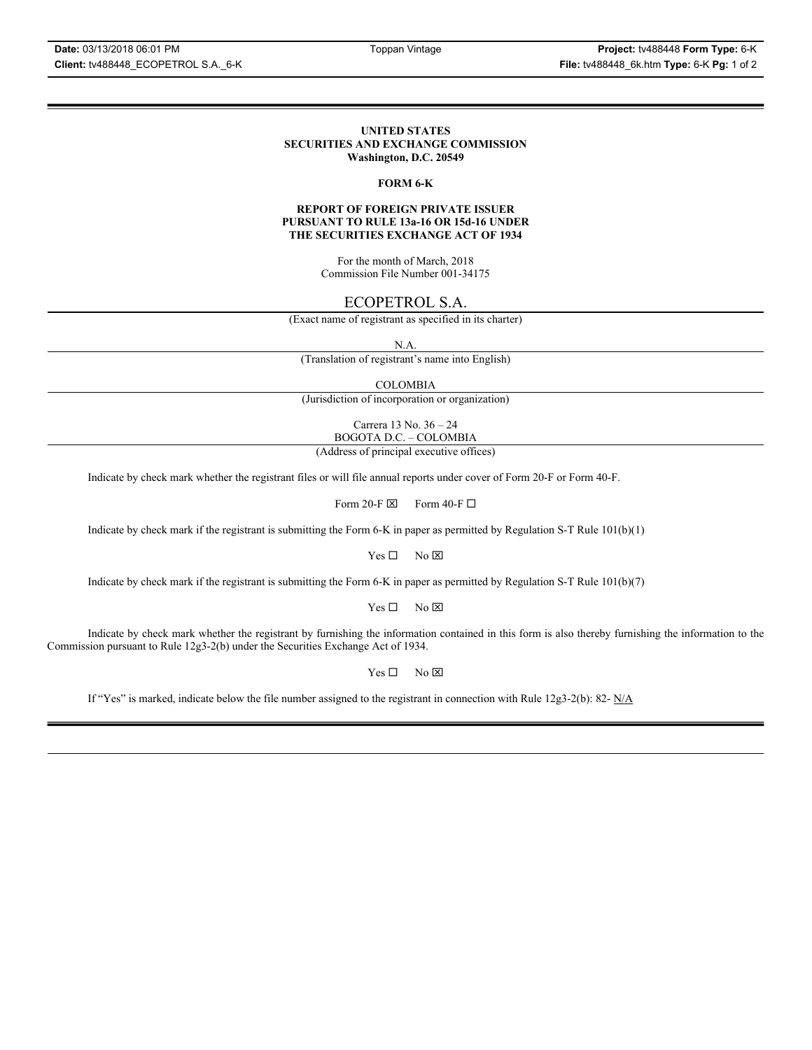### **UNITED STATES SECURITIES AND EXCHANGE COMMISSION Washington, D.C. 20549**

## **FORM 6-K**

### **REPORT OF FOREIGN PRIVATE ISSUER PURSUANT TO RULE 13a-16 OR 15d-16 UNDER THE SECURITIES EXCHANGE ACT OF 1934**

For the month of March, 2018 Commission File Number 001-34175

# ECOPETROL S.A.

(Exact name of registrant as specified in its charter)

N.A.

(Translation of registrant's name into English)

COLOMBIA

(Jurisdiction of incorporation or organization)

Carrera 13 No. 36 – 24 BOGOTA D.C. – COLOMBIA

(Address of principal executive offices)

Indicate by check mark whether the registrant files or will file annual reports under cover of Form 20-F or Form 40-F.

Form 20-F  $\boxtimes$  Form 40-F  $\Box$ 

Indicate by check mark if the registrant is submitting the Form 6-K in paper as permitted by Regulation S-T Rule 101(b)(1)

 $Yes \Box$  No  $\boxtimes$ 

Indicate by check mark if the registrant is submitting the Form 6-K in paper as permitted by Regulation S-T Rule 101(b)(7)

 $Yes \Box$  No  $\boxtimes$ 

Indicate by check mark whether the registrant by furnishing the information contained in this form is also thereby furnishing the information to the Commission pursuant to Rule 12g3-2(b) under the Securities Exchange Act of 1934.

 $Yes \Box$  No  $\boxtimes$ 

If "Yes" is marked, indicate below the file number assigned to the registrant in connection with Rule 12g3-2(b): 82-  $N/A$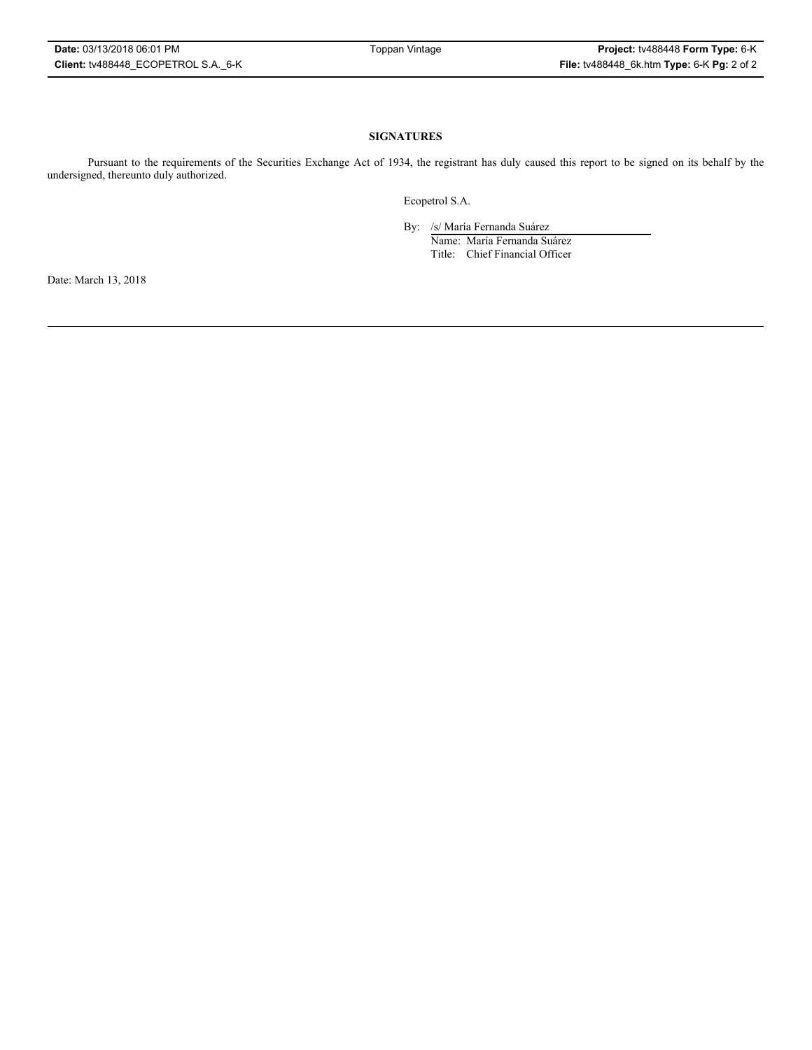## **SIGNATURES**

Pursuant to the requirements of the Securities Exchange Act of 1934, the registrant has duly caused this report to be signed on its behalf by the undersigned, thereunto duly authorized.

Ecopetrol S.A.

By: /s/ María Fernanda Suárez

Name: María Fernanda Suárez Title: Chief Financial Officer

Date: March 13, 2018